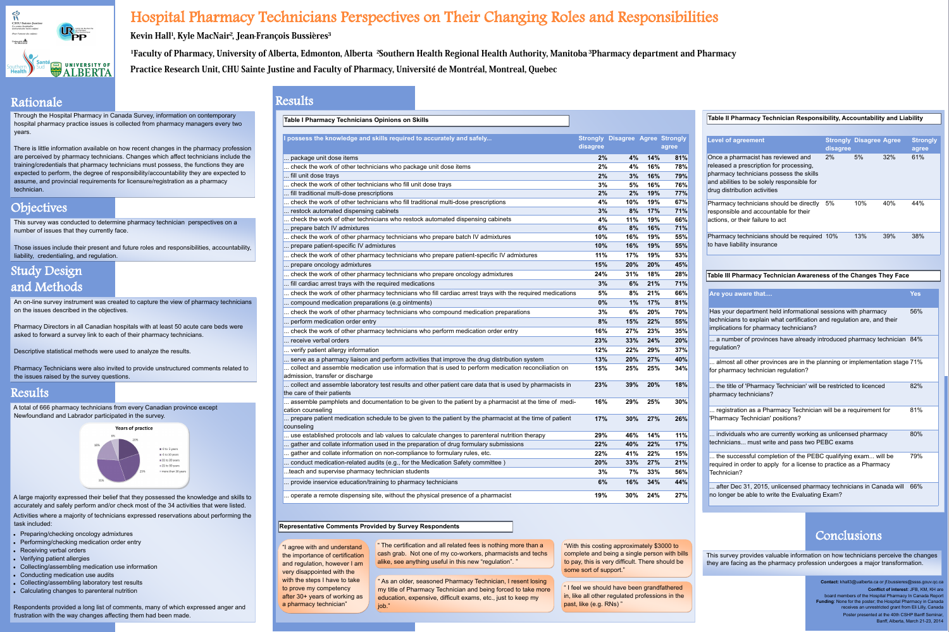This survey was conducted to determine pharmacy technician perspectives on a number of issues that they currently face.

Those issues include their present and future roles and responsibilities, accountabi liability, credentialing, and regulation.

An on-line survey instrument was created to capture the view of pharmacy technici on the issues described in the objectives.

Pharmacy Technicians were also invited to provide unstructured comments related the issues raised by the survey questions.

Pharmacy Directors in all Canadian hospitals with at least 50 acute care beds were asked to forward a survey link to each of their pharmacy technicians.

Descriptive statistical methods were used to analyze the results.

There is little information available on how recent changes in the pharmacy profess are perceived by pharmacy technicians. Changes which affect technicians include training/credentials that pharmacy technicians must possess, the functions they are expected to perform, the degree of responsibility/accountability they are expected to assume, and provincial requirements for licensure/registration as a pharmacy technician.

Through the Hospital Pharmacy in Canada Survey, information on contemporary hospital pharmacy practice issues is collected from pharmacy managers every two years.

A large majority expressed their belief that they possessed the knowledge and skill accurately and safely perform and/or check most of the 34 activities that were listed Activities where a majority of technicians expressed reservations about performing task included:

### Rationale

## Objectives

- Preparing/checking oncology admixtures
- Performing/checking medication order entry
- Receiving verbal orders
- Verifying patient allergies
- Collecting/assembling medication use information
- Conducting medication use audits
- Collecting/assembling laboratory test results
- Calculating changes to parenteral nutrition

# Study Design and Methods

**Contact:** khall3@ualberta.ca or jf.bussieres@ssss.gouv.qc.ca **Conflict of interest: JFB, KM, KH are** board members of the Hospital Pharmacy In Canada Report **Funding**: None for the poster; the Hospital Pharmacy in Canada receives an unrestricted grant from Eli Lilly, Canada Poster presented at the 40th CSHP Banff Seminar, Banff, Alberta, March 21-23, 2014

### Conclusions



# Hospital Pharmacy Technicians Perspectives on Their Changing Roles and Responsibilities

Kevin Hall<sup>1</sup>, Kyle MacNair<sup>2</sup>, Jean-François Bussières<sup>3</sup> <sup>1</sup>Faculty of Pharmacy, University of Alberta, Edmonton, Alberta <sup>2</sup>Southern Health Regional Health Authority, Manitoba <sup>3</sup>Pharmacy department and Pharmacy Practice Research Unit, CHU Sainte Justine and Faculty of Pharmacy, Université de Montréal, Montreal, Quebec

> This survey provides valuable information on how technicians perceive the changes they are facing as the pharmacy profession undergoes a major transformation.

A total of 666 pharmacy technicians from every Canadian province except Newfoundland and Labrador participated in the survey.



Respondents provided a long list of comments, many of which expressed anger and frustration with the way changes affecting them had been made.

### Results

| <b>Level of agreement</b>                                                                                                                                                                              | disagree | <b>Strongly Disagree Agree</b> |     | <b>Strongly</b><br>agree |
|--------------------------------------------------------------------------------------------------------------------------------------------------------------------------------------------------------|----------|--------------------------------|-----|--------------------------|
| Once a pharmacist has reviewed and<br>released a prescription for processing,<br>pharmacy technicians possess the skills<br>and abilities to be solely responsible for<br>drug distribution activities | 2%       | $5\%$                          | 32% | 61%                      |
| Pharmacy technicians should be directly<br>responsible and accountable for their<br>actions, or their failure to act                                                                                   | $5\%$    | 10%                            | 40% | 44%                      |
| Pharmacy technicians should be required 10%<br>to have liability insurance                                                                                                                             |          | 13%                            | 39% | 38%                      |

### **Table III Pharmacy Technician Awareness of the Changes They Face**

"With this costing approximately \$3000 to complete and being a single person with bills to pay, this is very difficult. There should be some sort of support."

" I feel we should have been grandfathered in, like all other regulated professions in the past, like (e.g. RNs)'

| Are you aware that                                                                                                                                                                 | <b>Yes</b> |
|------------------------------------------------------------------------------------------------------------------------------------------------------------------------------------|------------|
| Has your department held informational sessions with pharmacy<br>technicians to explain what certification and regulation are, and their<br>implications for pharmacy technicians? | 56%        |
| a number of provinces have already introduced pharmacy technician 84%<br>regulation?                                                                                               |            |
| almost all other provinces are in the planning or implementation stage 71%<br>for pharmacy technician regulation?                                                                  |            |
| the title of 'Pharmacy Technician' will be restricted to licenced<br>pharmacy technicians?                                                                                         | 82%        |
| registration as a Pharmacy Technician will be a requirement for<br>'Pharmacy Technician' positions?                                                                                | 81%        |
| individuals who are currently working as unlicensed pharmacy<br>technicians must write and pass two PEBC exams                                                                     | 80%        |
| the successful completion of the PEBC qualifying exam will be<br>required in order to apply for a license to practice as a Pharmacy<br>Technician?                                 | 79%        |
| after Dec 31, 2015, unlicensed pharmacy technicians in Canada will<br>no longer be able to write the Evaluating Exam?                                                              | 66%        |

| <b>Table I Pharmacy Technicians Opinions on Skills</b>                                                                                |                             |
|---------------------------------------------------------------------------------------------------------------------------------------|-----------------------------|
| I possess the knowledge and skills required to accurately and safely                                                                  | <b>Strongly</b><br>disagree |
| package unit dose items                                                                                                               | 2%                          |
| check the work of other technicians who package unit dose items                                                                       | 2%                          |
| fill unit dose trays                                                                                                                  | 2%                          |
| check the work of other technicians who fill unit dose trays                                                                          | 3%                          |
| fill traditional multi-dose prescriptions                                                                                             | 2%                          |
| check the work of other technicians who fill traditional multi-dose prescriptions                                                     | 4%                          |
| restock automated dispensing cabinets                                                                                                 | 3%                          |
| check the work of other technicians who restock automated dispensing cabinets                                                         | 4%                          |
| prepare batch IV admixtures                                                                                                           | 6%                          |
| check the work of other pharmacy technicians who prepare batch IV admixtures                                                          | 10%<br>10%                  |
| prepare patient-specific IV admixtures                                                                                                |                             |
| check the work of other pharmacy technicians who prepare patient-specific IV admixtures                                               | 11%                         |
| prepare oncology admixtures                                                                                                           | 15%                         |
| check the work of other pharmacy technicians who prepare oncology admixtures                                                          | 24%                         |
| fill cardiac arrest trays with the required medications                                                                               | 3%                          |
| check the work of other pharmacy technicians who fill cardiac arrest trays with the required medications                              | 5%                          |
| compound medication preparations (e.g ointments)                                                                                      | 0%                          |
| check the work of other pharmacy technicians who compound medication preparations                                                     | 3%                          |
| perform medication order entry                                                                                                        | 8%                          |
| check the work of other pharmacy technicians who perform medication order entry                                                       | 16%                         |
| receive verbal orders                                                                                                                 | 23%                         |
| verify patient allergy information                                                                                                    | 12%                         |
| serve as a pharmacy liaison and perform activities that improve the drug distribution system                                          | 13%                         |
| collect and assemble medication use information that is used to perform medication reconciliation on                                  | 15%                         |
| admission, transfer or discharge                                                                                                      | 23%                         |
| collect and assemble laboratory test results and other patient care data that is used by pharmacists in<br>the care of their patients |                             |
| assemble pamphlets and documentation to be given to the patient by a pharmacist at the time of medi-<br>cation counseling             | 16%                         |
| prepare patient medication schedule to be given to the patient by the pharmacist at the time of patient<br>counseling                 | 17%                         |
| use established protocols and lab values to calculate changes to parenteral nutrition therapy                                         | 29%                         |
| gather and collate information used in the preparation of drug formulary submissions                                                  | 22%                         |
| gather and collate information on non-compliance to formulary rules, etc.                                                             | 22%                         |
| conduct medication-related audits (e.g., for the Medication Safety committee)                                                         | 20%                         |
| teach and supervise pharmacy technician students                                                                                      | 3%                          |
| provide inservice education/training to pharmacy technicians                                                                          | 6%                          |
|                                                                                                                                       |                             |
| operate a remote dispensing site, without the physical presence of a pharmacist                                                       | 19%                         |

### **Table II Pharmacy Technician Responsibility, Accountability and Liability**

| <b>Table I Pharmacy Technicians Opinions on Skills</b>                                                                                   |          |                                         |     |       |
|------------------------------------------------------------------------------------------------------------------------------------------|----------|-----------------------------------------|-----|-------|
| I possess the knowledge and skills required to accurately and safely                                                                     |          | <b>Strongly Disagree Agree Strongly</b> |     |       |
|                                                                                                                                          | disagree |                                         |     | agree |
| package unit dose items                                                                                                                  | $2\%$    | 4%                                      | 14% | 81%   |
| check the work of other technicians who package unit dose items                                                                          | 2%       | 4%                                      | 16% | 78%   |
| fill unit dose trays                                                                                                                     | $2\%$    | 3%                                      | 16% | 79%   |
| check the work of other technicians who fill unit dose trays                                                                             | 3%       | 5%                                      | 16% | 76%   |
| fill traditional multi-dose prescriptions                                                                                                | $2\%$    | 2%                                      | 19% | 77%   |
| check the work of other technicians who fill traditional multi-dose prescriptions                                                        | 4%       | $10\%$                                  | 19% | 67%   |
| restock automated dispensing cabinets                                                                                                    | 3%       | 8%                                      | 17% | 71%   |
| check the work of other technicians who restock automated dispensing cabinets                                                            | 4%       | 11%                                     | 19% | 66%   |
| prepare batch IV admixtures                                                                                                              | 6%       | 8%                                      | 16% | 71%   |
| check the work of other pharmacy technicians who prepare batch IV admixtures                                                             | $10\%$   | 16%                                     | 19% | 55%   |
| prepare patient-specific IV admixtures                                                                                                   | 10%      | 16%                                     | 19% | 55%   |
| check the work of other pharmacy technicians who prepare patient-specific IV admixtures                                                  | 11%      | 17%                                     | 19% | 53%   |
| prepare oncology admixtures                                                                                                              | 15%      | 20%                                     | 20% | 45%   |
| check the work of other pharmacy technicians who prepare oncology admixtures                                                             | 24%      | 31%                                     | 18% | 28%   |
| fill cardiac arrest trays with the required medications                                                                                  | 3%       | 6%                                      | 21% | 71%   |
| check the work of other pharmacy technicians who fill cardiac arrest trays with the required medications                                 | 5%       | 8%                                      | 21% | 66%   |
| compound medication preparations (e.g ointments)                                                                                         | $0\%$    | $1\%$                                   | 17% | 81%   |
| check the work of other pharmacy technicians who compound medication preparations                                                        | 3%       | $6\%$                                   | 20% | 70%   |
| perform medication order entry                                                                                                           | 8%       | 15%                                     | 22% | 55%   |
| check the work of other pharmacy technicians who perform medication order entry                                                          | 16%      | 27%                                     | 23% | 35%   |
| receive verbal orders                                                                                                                    | 23%      | 33%                                     | 24% | 20%   |
| verify patient allergy information                                                                                                       | 12%      | 22%                                     | 29% | 37%   |
| serve as a pharmacy liaison and perform activities that improve the drug distribution system                                             | 13%      | 20%                                     | 27% | 40%   |
| collect and assemble medication use information that is used to perform medication reconciliation on<br>admission, transfer or discharge | 15%      | 25%                                     | 25% | 34%   |
| collect and assemble laboratory test results and other patient care data that is used by pharmacists in<br>the care of their patients    | 23%      | 39%                                     | 20% | 18%   |
| assemble pamphlets and documentation to be given to the patient by a pharmacist at the time of medi-<br>cation counseling                | 16%      | 29%                                     | 25% | 30%   |
| prepare patient medication schedule to be given to the patient by the pharmacist at the time of patient<br>counseling                    | 17%      | 30%                                     | 27% | 26%   |
| use established protocols and lab values to calculate changes to parenteral nutrition therapy                                            | 29%      | 46%                                     | 14% | 11%   |
| gather and collate information used in the preparation of drug formulary submissions                                                     | 22%      | 40%                                     | 22% | 17%   |
| gather and collate information on non-compliance to formulary rules, etc.                                                                | 22%      | 41%                                     | 22% | 15%   |
| conduct medication-related audits (e.g., for the Medication Safety committee)                                                            | 20%      | 33%                                     | 27% | 21%   |
| teach and supervise pharmacy technician students                                                                                         | 3%       | 7%                                      | 33% | 56%   |
| provide inservice education/training to pharmacy technicians                                                                             | 6%       | 16%                                     | 34% | 44%   |
| operate a remote dispensing site, without the physical presence of a pharmacist                                                          | 19%      | 30%                                     | 24% | 27%   |